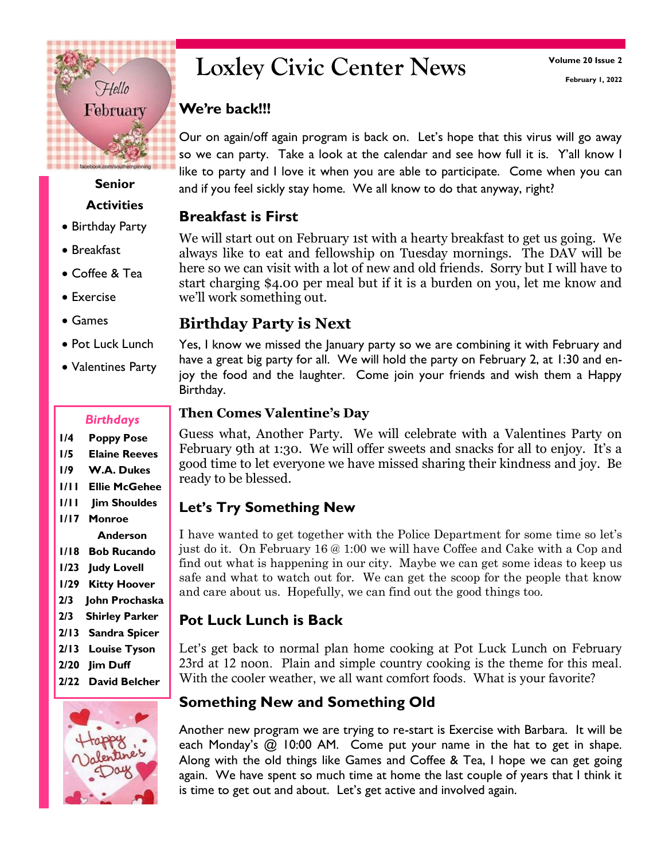# **Loxley Civic Center News**

#### **We're back!!!**

Our on again/off again program is back on. Let's hope that this virus will go away so we can party. Take a look at the calendar and see how full it is. Y'all know I like to party and I love it when you are able to participate. Come when you can **Senior** and if you feel sickly stay home. We all know to do that anyway, right?

#### **Breakfast is First**

We will start out on February 1st with a hearty breakfast to get us going. We always like to eat and fellowship on Tuesday mornings. The DAV will be here so we can visit with a lot of new and old friends. Sorry but I will have to start charging \$4.00 per meal but if it is a burden on you, let me know and we'll work something out.

#### **Birthday Party is Next**

Yes, I know we missed the January party so we are combining it with February and have a great big party for all. We will hold the party on February 2, at 1:30 and enjoy the food and the laughter. Come join your friends and wish them a Happy Birthday.

#### **Then Comes Valentine's Day**

Guess what, Another Party. We will celebrate with a Valentines Party on February 9th at 1:30. We will offer sweets and snacks for all to enjoy. It's a good time to let everyone we have missed sharing their kindness and joy. Be ready to be blessed.

#### **Let's Try Something New**

I have wanted to get together with the Police Department for some time so let's just do it. On February 16 @ 1:00 we will have Coffee and Cake with a Cop and find out what is happening in our city. Maybe we can get some ideas to keep us safe and what to watch out for. We can get the scoop for the people that know and care about us. Hopefully, we can find out the good things too.

## **Pot Luck Lunch is Back**

Let's get back to normal plan home cooking at Pot Luck Lunch on February 23rd at 12 noon. Plain and simple country cooking is the theme for this meal. With the cooler weather, we all want comfort foods. What is your favorite?

## **Something New and Something Old**

Another new program we are trying to re-start is Exercise with Barbara. It will be each Monday's @ 10:00 AM. Come put your name in the hat to get in shape. Along with the old things like Games and Coffee & Tea, I hope we can get going again. We have spent so much time at home the last couple of years that I think it is time to get out and about. Let's get active and involved again.

# February

Hello

**Activities**

facebook.com/southempinnin

#### Birthday Party

- Breakfast
- Coffee & Tea
- Exercise
- Games
- Pot Luck Lunch
- Valentines Party

#### *Birthdays*

- **1/4 Poppy Pose**
- **1/5 Elaine Reeves**
- **1/9 W.A. Dukes**
- **1/11 Ellie McGehee**
- **1/11 Jim Shouldes**
- **1/17 Monroe Anderson**
- **1/18 Bob Rucando**
- **1/23 Judy Lovell**
- **1/29 Kitty Hoover**
- **2/3 John Prochaska**
- **2/3 Shirley Parker**
- **2/13 Sandra Spicer**
- **2/13 Louise Tyson**
- **2/20 Jim Duff**
- **2/22 David Belcher**